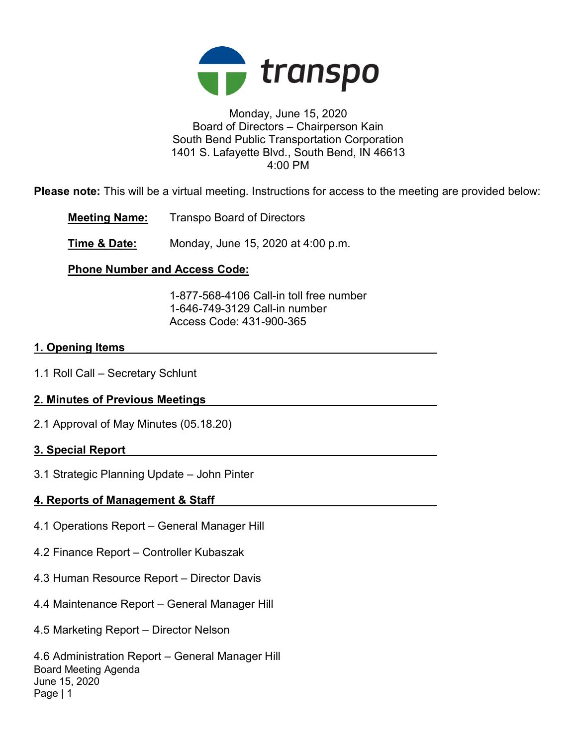

### Monday, June 15, 2020 Board of Directors – Chairperson Kain South Bend Public Transportation Corporation 1401 S. Lafayette Blvd., South Bend, IN 46613 4:00 PM

Please note: This will be a virtual meeting. Instructions for access to the meeting are provided below:

Meeting Name: Transpo Board of Directors

**Time & Date:** Monday, June 15, 2020 at 4:00 p.m.

# Phone Number and Access Code:

 1-877-568-4106 Call-in toll free number 1-646-749-3129 Call-in number Access Code: 431-900-365

### 1. Opening Items

1.1 Roll Call – Secretary Schlunt

# 2. Minutes of Previous Meetings

2.1 Approval of May Minutes (05.18.20)

# 3. Special Report

3.1 Strategic Planning Update – John Pinter

# 4. Reports of Management & Staff

- 4.1 Operations Report General Manager Hill
- 4.2 Finance Report Controller Kubaszak
- 4.3 Human Resource Report Director Davis
- 4.4 Maintenance Report General Manager Hill
- 4.5 Marketing Report Director Nelson

Board Meeting Agenda June 15, 2020 Page | 1 4.6 Administration Report – General Manager Hill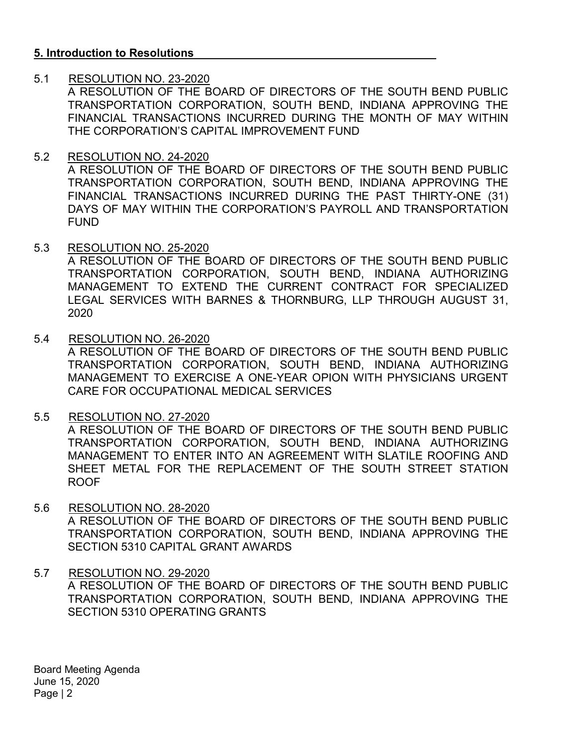### 5. Introduction to Resolutions

### 5.1 RESOLUTION NO. 23-2020

A RESOLUTION OF THE BOARD OF DIRECTORS OF THE SOUTH BEND PUBLIC TRANSPORTATION CORPORATION, SOUTH BEND, INDIANA APPROVING THE FINANCIAL TRANSACTIONS INCURRED DURING THE MONTH OF MAY WITHIN THE CORPORATION'S CAPITAL IMPROVEMENT FUND

### 5.2 RESOLUTION NO. 24-2020

A RESOLUTION OF THE BOARD OF DIRECTORS OF THE SOUTH BEND PUBLIC TRANSPORTATION CORPORATION, SOUTH BEND, INDIANA APPROVING THE FINANCIAL TRANSACTIONS INCURRED DURING THE PAST THIRTY-ONE (31) DAYS OF MAY WITHIN THE CORPORATION'S PAYROLL AND TRANSPORTATION FUND

#### 5.3 RESOLUTION NO. 25-2020

A RESOLUTION OF THE BOARD OF DIRECTORS OF THE SOUTH BEND PUBLIC TRANSPORTATION CORPORATION, SOUTH BEND, INDIANA AUTHORIZING MANAGEMENT TO EXTEND THE CURRENT CONTRACT FOR SPECIALIZED LEGAL SERVICES WITH BARNES & THORNBURG, LLP THROUGH AUGUST 31, 2020

5.4 RESOLUTION NO. 26-2020

A RESOLUTION OF THE BOARD OF DIRECTORS OF THE SOUTH BEND PUBLIC TRANSPORTATION CORPORATION, SOUTH BEND, INDIANA AUTHORIZING MANAGEMENT TO EXERCISE A ONE-YEAR OPION WITH PHYSICIANS URGENT CARE FOR OCCUPATIONAL MEDICAL SERVICES

5.5 RESOLUTION NO. 27-2020

A RESOLUTION OF THE BOARD OF DIRECTORS OF THE SOUTH BEND PUBLIC TRANSPORTATION CORPORATION, SOUTH BEND, INDIANA AUTHORIZING MANAGEMENT TO ENTER INTO AN AGREEMENT WITH SLATILE ROOFING AND SHEET METAL FOR THE REPLACEMENT OF THE SOUTH STREET STATION ROOF

5.6 RESOLUTION NO. 28-2020 A RESOLUTION OF THE BOARD OF DIRECTORS OF THE SOUTH BEND PUBLIC TRANSPORTATION CORPORATION, SOUTH BEND, INDIANA APPROVING THE SECTION 5310 CAPITAL GRANT AWARDS

### 5.7 RESOLUTION NO. 29-2020 A RESOLUTION OF THE BOARD OF DIRECTORS OF THE SOUTH BEND PUBLIC TRANSPORTATION CORPORATION, SOUTH BEND, INDIANA APPROVING THE SECTION 5310 OPERATING GRANTS

Board Meeting Agenda June 15, 2020 Page | 2